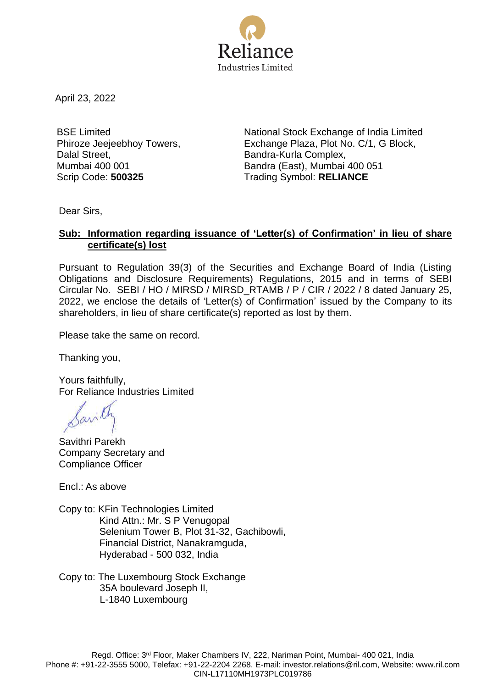

April 23, 2022

BSE Limited Phiroze Jeejeebhoy Towers, Dalal Street, Mumbai 400 001

National Stock Exchange of India Limited Exchange Plaza, Plot No. C/1, G Block, Bandra-Kurla Complex, Bandra (East), Mumbai 400 051 Scrip Code: **500325** Trading Symbol: **RELIANCE**

Dear Sirs,

## **Sub: Information regarding issuance of 'Letter(s) of Confirmation' in lieu of share certificate(s) lost**

Pursuant to Regulation 39(3) of the Securities and Exchange Board of India (Listing Obligations and Disclosure Requirements) Regulations, 2015 and in terms of SEBI Circular No. SEBI / HO / MIRSD / MIRSD\_RTAMB / P / CIR / 2022 / 8 dated January 25, 2022, we enclose the details of 'Letter(s) of Confirmation' issued by the Company to its shareholders, in lieu of share certificate(s) reported as lost by them.

Please take the same on record.

Thanking you,

Yours faithfully, For Reliance Industries Limited

Savithri Parekh Company Secretary and Compliance Officer

Encl.: As above

Copy to: KFin Technologies Limited Kind Attn.: Mr. S P Venugopal Selenium Tower B, Plot 31-32, Gachibowli, Financial District, Nanakramguda, Hyderabad - 500 032, India

Copy to: The Luxembourg Stock Exchange 35A boulevard Joseph II, L-1840 Luxembourg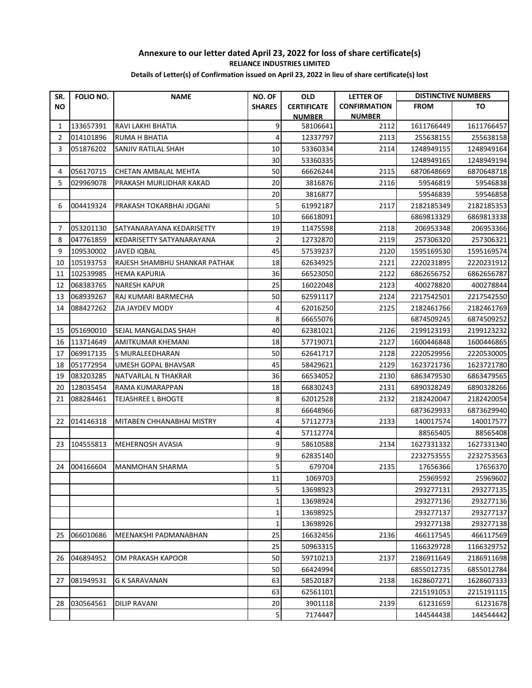## **Annexure to our letter dated April 23, 2022 for loss of share certificate(s) RELIANCE INDUSTRIES LIMITED Details of Letter(s) of Confirmation issued on April 23, 2022 in lieu of share certificate(s) lost**

| SR.       | FOLIO NO. | <b>NAME</b>                   | <b>NO. OF</b>           | <b>OLD</b>         | <b>LETTER OF</b>    |            | <b>DISTINCTIVE NUMBERS</b> |
|-----------|-----------|-------------------------------|-------------------------|--------------------|---------------------|------------|----------------------------|
| <b>NO</b> |           |                               | <b>SHARES</b>           | <b>CERTIFICATE</b> | <b>CONFIRMATION</b> | FROM       | TO                         |
|           |           |                               |                         | <b>NUMBER</b>      | <b>NUMBER</b>       |            |                            |
| 1         | 133657391 | RAVI LAKHI BHATIA             | 9                       | 58106641           | 2112                | 1611766449 | 1611766457                 |
| 2         | 014101896 | RUMA H BHATIA                 | 4                       | 12337797           | 2113                | 255638155  | 255638158                  |
| 3         | 051876202 | SANJIV RATILAL SHAH           | 10                      | 53360334           | 2114                | 1248949155 | 1248949164                 |
|           |           |                               | 30                      | 53360335           |                     | 1248949165 | 1248949194                 |
| 4         | 056170715 | CHETAN AMBALAL MEHTA          | 50                      | 66626244           | 2115                | 6870648669 | 6870648718                 |
| 5         | 029969078 | PRAKASH MURLIDHAR KAKAD       | 20                      | 3816876            | 2116                | 59546819   | 59546838                   |
|           |           |                               | 20                      | 3816877            |                     | 59546839   | 59546858                   |
| 6         | 004419324 | PRAKASH TOKARBHAI JOGANI      | 5                       | 61992187           | 2117                | 2182185349 | 2182185353                 |
|           |           |                               | 10                      | 66618091           |                     | 6869813329 | 6869813338                 |
| 7         | 053201130 | SATYANARAYANA KEDARISETTY     | 19                      | 11475598           | 2118                | 206953348  | 206953366                  |
| 8         | 047761859 | KEDARISETTY SATYANARAYANA     | $\overline{2}$          | 12732870           | 2119                | 257306320  | 257306321                  |
| 9         | 109530002 | JAVED IQBAL                   | 45                      | 57539237           | 2120                | 1595169530 | 1595169574                 |
| 10        | 105193753 | RAJESH SHAMBHU SHANKAR PATHAK | 18                      | 62634925           | 2121                | 2220231895 | 2220231912                 |
| 11        | 102539985 | <b>HEMA KAPURIA</b>           | 36                      | 66523050           | 2122                | 6862656752 | 6862656787                 |
| 12        | 068383765 | NARESH KAPUR                  | 25                      | 16022048           | 2123                | 400278820  | 400278844                  |
| 13        | 068939267 | RAJ KUMARI BARMECHA           | 50                      | 62591117           | 2124                | 2217542501 | 2217542550                 |
| 14        | 088427262 | ZIA JAYDEV MODY               | 4                       | 62016250           | 2125                | 2182461766 | 2182461769                 |
|           |           |                               | 8                       | 66655076           |                     | 6874509245 | 6874509252                 |
| 15        | 051690010 | SEJAL MANGALDAS SHAH          | 40                      | 62381021           | 2126                | 2199123193 | 2199123232                 |
| 16        | 113714649 | AMITKUMAR KHEMANI             | 18                      | 57719071           | 2127                | 1600446848 | 1600446865                 |
| 17        | 069917135 | S MURALEEDHARAN               | 50                      | 62641717           | 2128                | 2220529956 | 2220530005                 |
| 18        | 051772954 | UMESH GOPAL BHAVSAR           | 45                      | 58429621           | 2129                | 1623721736 | 1623721780                 |
| 19        | 083203285 | NATVARLAL N THAKRAR           | 36                      | 66534052           | 2130                | 6863479530 | 6863479565                 |
| 20        | 128035454 | RAMA KUMARAPPAN               | 18                      | 66830243           | 2131                | 6890328249 | 6890328266                 |
| 21        | 088284461 | TEJASHREE L BHOGTE            | 8                       | 62012528           | 2132                | 2182420047 | 2182420054                 |
|           |           |                               | 8                       | 66648966           |                     | 6873629933 | 6873629940                 |
| 22        | 014146318 | MITABEN CHHANABHAI MISTRY     | 4                       | 57112773           | 2133                | 140017574  | 140017577                  |
|           |           |                               | 4                       | 57112774           |                     | 88565405   | 88565408                   |
| 23        | 104555813 | MEHERNOSH AVASIA              | 9                       | 58610588           | 2134                | 1627331332 | 1627331340                 |
|           |           |                               | 9                       | 62835140           |                     | 2232753555 | 2232753563                 |
| 24        | 004166604 | MANMOHAN SHARMA               | 5                       | 679704             | 2135                | 17656366   | 17656370                   |
|           |           |                               | 11                      | 1069703            |                     | 25969592   | 25969602                   |
|           |           |                               | 5                       | 13698923           |                     | 293277131  | 293277135                  |
|           |           |                               | 1                       | 13698924           |                     | 293277136  | 293277136                  |
|           |           |                               | 1                       | 13698925           |                     | 293277137  | 293277137                  |
|           |           |                               | $\mathbf{1}$            | 13698926           |                     | 293277138  | 293277138                  |
| 25        | 066010686 | MEENAKSHI PADMANABHAN         | 25                      | 16632456           | 2136                | 466117545  | 466117569                  |
|           |           |                               | 25                      | 50963315           |                     | 1166329728 | 1166329752                 |
| 26        | 046894952 | OM PRAKASH KAPOOR             | 50                      | 59710213           | 2137                | 2186911649 | 2186911698                 |
|           |           |                               | 50                      | 66424994           |                     | 6855012735 | 6855012784                 |
| 27        | 081949531 | G K SARAVANAN                 | 63                      | 58520187           | 2138                | 1628607271 | 1628607333                 |
|           |           |                               | 63                      | 62561101           |                     | 2215191053 | 2215191115                 |
| 28        | 030564561 | DILIP RAVANI                  | 20                      | 3901118            | 2139                | 61231659   | 61231678                   |
|           |           |                               | $\overline{\mathbf{5}}$ | 7174447            |                     | 144544438  | 144544442                  |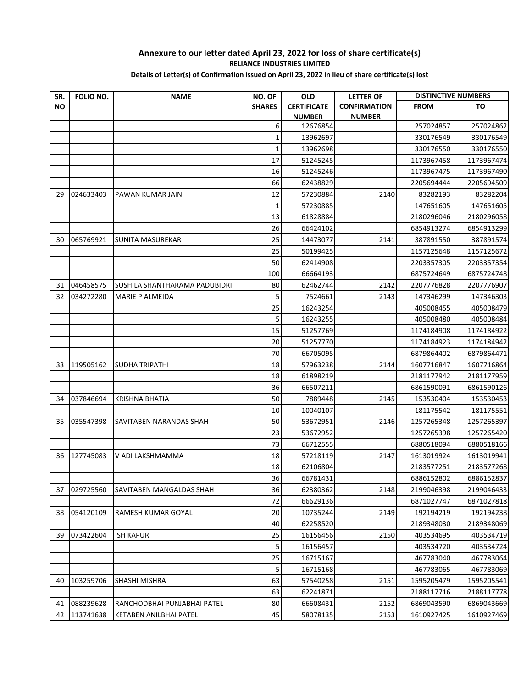## **Annexure to our letter dated April 23, 2022 for loss of share certificate(s) RELIANCE INDUSTRIES LIMITED Details of Letter(s) of Confirmation issued on April 23, 2022 in lieu of share certificate(s) lost**

| SR.       | <b>FOLIO NO.</b> | <b>NAME</b>                   | NO. OF        | <b>OLD</b>         | <b>LETTER OF</b>    |             | <b>DISTINCTIVE NUMBERS</b> |
|-----------|------------------|-------------------------------|---------------|--------------------|---------------------|-------------|----------------------------|
| <b>NO</b> |                  |                               | <b>SHARES</b> | <b>CERTIFICATE</b> | <b>CONFIRMATION</b> | <b>FROM</b> | TO                         |
|           |                  |                               |               | <b>NUMBER</b>      | <b>NUMBER</b>       |             |                            |
|           |                  |                               | 6             | 12676854           |                     | 257024857   | 257024862                  |
|           |                  |                               | $\mathbf{1}$  | 13962697           |                     | 330176549   | 330176549                  |
|           |                  |                               | 1             | 13962698           |                     | 330176550   | 330176550                  |
|           |                  |                               | 17            | 51245245           |                     | 1173967458  | 1173967474                 |
|           |                  |                               | 16            | 51245246           |                     | 1173967475  | 1173967490                 |
|           |                  |                               | 66            | 62438829           |                     | 2205694444  | 2205694509                 |
| 29        | 024633403        | PAWAN KUMAR JAIN              | 12            | 57230884           | 2140                | 83282193    | 83282204                   |
|           |                  |                               | 1             | 57230885           |                     | 147651605   | 147651605                  |
|           |                  |                               | 13            | 61828884           |                     | 2180296046  | 2180296058                 |
|           |                  |                               | 26            | 66424102           |                     | 6854913274  | 6854913299                 |
| 30        | 065769921        | SUNITA MASUREKAR              | 25            | 14473077           | 2141                | 387891550   | 387891574                  |
|           |                  |                               | 25            | 50199425           |                     | 1157125648  | 1157125672                 |
|           |                  |                               | 50            | 62414908           |                     | 2203357305  | 2203357354                 |
|           |                  |                               | 100           | 66664193           |                     | 6875724649  | 6875724748                 |
| 31        | 046458575        | SUSHILA SHANTHARAMA PADUBIDRI | 80            | 62462744           | 2142                | 2207776828  | 2207776907                 |
| 32        | 034272280        | <b>MARIE P ALMEIDA</b>        | 5             | 7524661            | 2143                | 147346299   | 147346303                  |
|           |                  |                               | 25            | 16243254           |                     | 405008455   | 405008479                  |
|           |                  |                               | 5             | 16243255           |                     | 405008480   | 405008484                  |
|           |                  |                               | 15            | 51257769           |                     | 1174184908  | 1174184922                 |
|           |                  |                               | 20            | 51257770           |                     | 1174184923  | 1174184942                 |
|           |                  |                               | 70            | 66705095           |                     | 6879864402  | 6879864471                 |
| 33        | 119505162        | SUDHA TRIPATHI                | 18            | 57963238           | 2144                | 1607716847  | 1607716864                 |
|           |                  |                               | 18            | 61898219           |                     | 2181177942  | 2181177959                 |
|           |                  |                               | 36            | 66507211           |                     | 6861590091  | 6861590126                 |
| 34        | 037846694        | <b>KRISHNA BHATIA</b>         | 50            | 7889448            | 2145                | 153530404   | 153530453                  |
|           |                  |                               | 10            | 10040107           |                     | 181175542   | 181175551                  |
| 35        | 035547398        | SAVITABEN NARANDAS SHAH       | 50            | 53672951           | 2146                | 1257265348  | 1257265397                 |
|           |                  |                               | 23            | 53672952           |                     | 1257265398  | 1257265420                 |
|           |                  |                               | 73            | 66712555           |                     | 6880518094  | 6880518166                 |
| 36        | 127745083        | V ADI LAKSHMAMMA              | 18            | 57218119           | 2147                | 1613019924  | 1613019941                 |
|           |                  |                               | 18            | 62106804           |                     | 2183577251  | 2183577268                 |
|           |                  |                               | 36            | 66781431           |                     | 6886152802  | 6886152837                 |
| 37        | 029725560        | SAVITABEN MANGALDAS SHAH      | 36            | 62380362           | 2148                | 2199046398  | 2199046433                 |
|           |                  |                               | 72            | 66629136           |                     | 6871027747  | 6871027818                 |
| 38        | 054120109        | RAMESH KUMAR GOYAL            | 20            | 10735244           | 2149                | 192194219   | 192194238                  |
|           |                  |                               | 40            | 62258520           |                     | 2189348030  | 2189348069                 |
| 39        | 073422604        | <b>ISH KAPUR</b>              | 25            | 16156456           | 2150                | 403534695   | 403534719                  |
|           |                  |                               | 5             | 16156457           |                     | 403534720   | 403534724                  |
|           |                  |                               | 25            | 16715167           |                     | 467783040   | 467783064                  |
|           |                  |                               | 5             | 16715168           |                     | 467783065   | 467783069                  |
| 40        | 103259706        | SHASHI MISHRA                 | 63            | 57540258           | 2151                | 1595205479  | 1595205541                 |
|           |                  |                               | 63            | 62241871           |                     | 2188117716  | 2188117778                 |
| 41        | 088239628        | RANCHODBHAI PUNJABHAI PATEL   | 80            | 66608431           | 2152                | 6869043590  | 6869043669                 |
| 42        | 113741638        | KETABEN ANILBHAI PATEL        | 45            | 58078135           | 2153                | 1610927425  | 1610927469                 |
|           |                  |                               |               |                    |                     |             |                            |